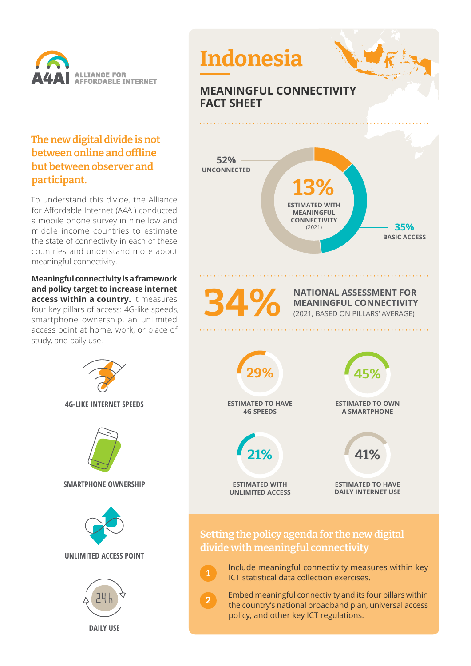

## **The new digital divide is not between online and offline but between observer and participant.**

To understand this divide, the Alliance for Affordable Internet (A4AI) conducted a mobile phone survey in nine low and middle income countries to estimate the state of connectivity in each of these countries and understand more about meaningful connectivity.

**Meaningful connectivity is a framework and policy target to increase internet access within a country.** It measures four key pillars of access: 4G-like speeds, smartphone ownership, an unlimited access point at home, work, or place of study, and daily use.

> **4G-LIKE INTERNET SPEEDS SMARTPHONE OWNERSHIP UNLIMITED ACCESS POINT DAILY USE**



 Include meaningful connectivity measures within key ICT statistical data collection exercises.

**1**

**2**

 Embed meaningful connectivity and its four pillars within the country's national broadband plan, universal access policy, and other key ICT regulations.